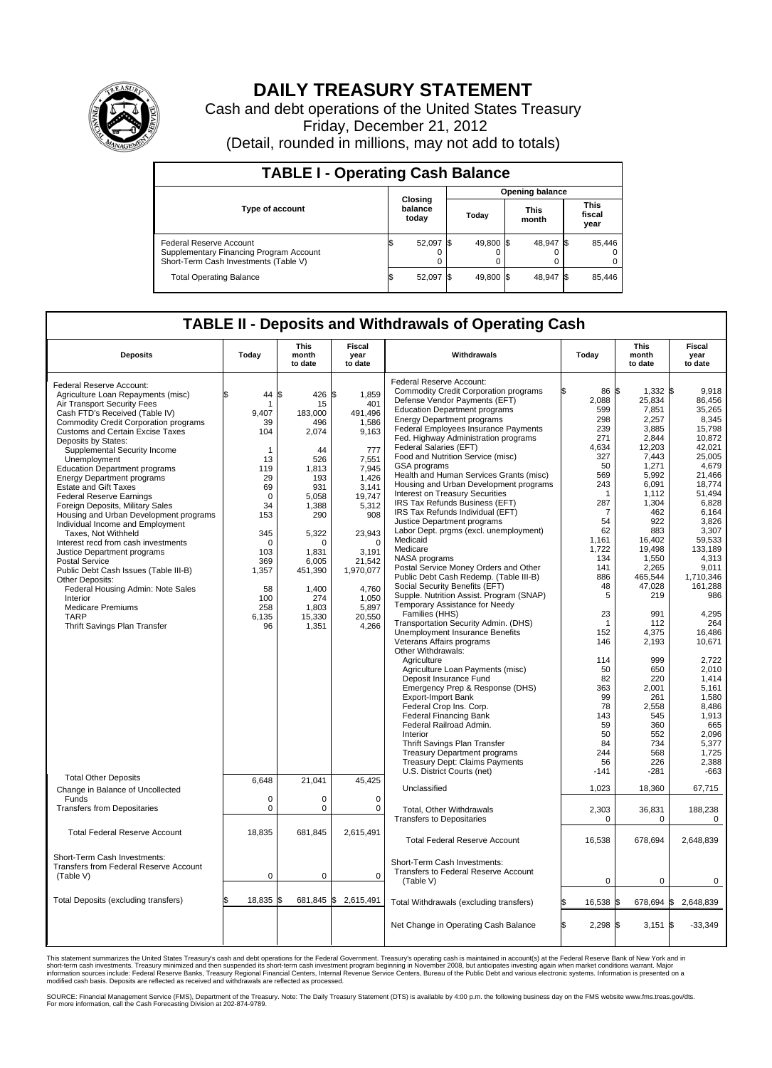

## **DAILY TREASURY STATEMENT**

Cash and debt operations of the United States Treasury Friday, December 21, 2012 (Detail, rounded in millions, may not add to totals)

| <b>TABLE I - Operating Cash Balance</b>                                                                     |    |                             |                        |           |  |                      |      |                               |  |  |  |
|-------------------------------------------------------------------------------------------------------------|----|-----------------------------|------------------------|-----------|--|----------------------|------|-------------------------------|--|--|--|
|                                                                                                             |    |                             | <b>Opening balance</b> |           |  |                      |      |                               |  |  |  |
| <b>Type of account</b>                                                                                      |    | Closing<br>balance<br>today |                        | Today     |  | <b>This</b><br>month |      | <b>This</b><br>fiscal<br>year |  |  |  |
| Federal Reserve Account<br>Supplementary Financing Program Account<br>Short-Term Cash Investments (Table V) |    | 52,097                      |                        | 49,800 \$ |  | 48,947 \$<br>0       |      | 85,446                        |  |  |  |
| <b>Total Operating Balance</b>                                                                              | IΦ | 52,097                      |                        | 49.800 \$ |  | 48.947               | - IS | 85,446                        |  |  |  |

## **TABLE II - Deposits and Withdrawals of Operating Cash**

| <b>Deposits</b>                              | Today        | <b>This</b><br>month<br>to date | Fiscal<br>year<br>to date | Withdrawals                                  | Today            | This<br>month<br>to date | Fiscal<br>year<br>to date |  |  |  |  |
|----------------------------------------------|--------------|---------------------------------|---------------------------|----------------------------------------------|------------------|--------------------------|---------------------------|--|--|--|--|
|                                              |              |                                 |                           | Federal Reserve Account:                     |                  |                          |                           |  |  |  |  |
| Federal Reserve Account:                     |              |                                 |                           | <b>Commodity Credit Corporation programs</b> | 86 \$            | $1,332$ \$               | 9,918                     |  |  |  |  |
| Agriculture Loan Repayments (misc)           | 44 S         | 426                             | 1,859<br>\$               |                                              |                  |                          |                           |  |  |  |  |
| Air Transport Security Fees                  | 1            | 15                              | 401                       | Defense Vendor Payments (EFT)                | 2,088            | 25,834                   | 86,456                    |  |  |  |  |
| Cash FTD's Received (Table IV)               | 9,407        | 183,000                         | 491,496                   | <b>Education Department programs</b>         | 599              | 7,851                    | 35,265                    |  |  |  |  |
| <b>Commodity Credit Corporation programs</b> | 39           | 496                             | 1,586                     | <b>Energy Department programs</b>            | 298              | 2,257                    | 8,345                     |  |  |  |  |
| <b>Customs and Certain Excise Taxes</b>      | 104          | 2,074                           | 9,163                     | Federal Employees Insurance Payments         | 239              | 3,885                    | 15,798                    |  |  |  |  |
| Deposits by States:                          |              |                                 |                           | Fed. Highway Administration programs         | 271              | 2.844                    | 10.872                    |  |  |  |  |
| Supplemental Security Income                 | $\mathbf{1}$ | 44                              | 777                       | Federal Salaries (EFT)                       | 4,634            | 12,203                   | 42,021                    |  |  |  |  |
| Unemployment                                 | 13           | 526                             | 7,551                     | Food and Nutrition Service (misc)            | 327              | 7,443                    | 25.005                    |  |  |  |  |
|                                              |              |                                 |                           | GSA programs                                 | 50               | 1,271                    | 4,679                     |  |  |  |  |
| <b>Education Department programs</b>         | 119          | 1,813                           | 7,945                     | Health and Human Services Grants (misc)      | 569              | 5,992                    | 21,466                    |  |  |  |  |
| <b>Energy Department programs</b>            | 29           | 193                             | 1,426                     | Housing and Urban Development programs       | 243              | 6,091                    | 18,774                    |  |  |  |  |
| <b>Estate and Gift Taxes</b>                 | 69           | 931                             | 3,141                     | Interest on Treasury Securities              | -1               | 1,112                    | 51,494                    |  |  |  |  |
| <b>Federal Reserve Earnings</b>              | $\mathbf 0$  | 5,058                           | 19,747                    | IRS Tax Refunds Business (EFT)               | 287              | 1,304                    | 6,828                     |  |  |  |  |
| Foreign Deposits, Military Sales             | 34           | 1,388                           | 5,312                     |                                              |                  |                          |                           |  |  |  |  |
| Housing and Urban Development programs       | 153          | 290                             | 908                       | IRS Tax Refunds Individual (EFT)             | 7                | 462                      | 6,164                     |  |  |  |  |
| Individual Income and Employment             |              |                                 |                           | Justice Department programs                  | 54               | 922                      | 3,826                     |  |  |  |  |
| Taxes, Not Withheld                          | 345          | 5,322                           | 23,943                    | Labor Dept. prgms (excl. unemployment)       | 62               | 883                      | 3,307                     |  |  |  |  |
| Interest recd from cash investments          | $\mathbf 0$  | $\Omega$                        | $\Omega$                  | Medicaid                                     | 1,161            | 16,402                   | 59,533                    |  |  |  |  |
| Justice Department programs                  | 103          | 1,831                           | 3,191                     | Medicare                                     | 1,722            | 19,498                   | 133,189                   |  |  |  |  |
| <b>Postal Service</b>                        | 369          | 6,005                           | 21,542                    | NASA programs                                | 134              | 1,550                    | 4,313                     |  |  |  |  |
|                                              |              |                                 |                           | Postal Service Money Orders and Other        | 141              | 2,265                    | 9,011                     |  |  |  |  |
| Public Debt Cash Issues (Table III-B)        | 1,357        | 451,390                         | 1,970,077                 | Public Debt Cash Redemp. (Table III-B)       | 886              | 465.544                  | 1.710.346                 |  |  |  |  |
| Other Deposits:                              |              |                                 |                           | Social Security Benefits (EFT)               | 48               | 47,028                   | 161,288                   |  |  |  |  |
| Federal Housing Admin: Note Sales            | 58           | 1,400                           | 4.760                     |                                              | 5                |                          | 986                       |  |  |  |  |
| Interior                                     | 100          | 274                             | 1.050                     | Supple. Nutrition Assist. Program (SNAP)     |                  | 219                      |                           |  |  |  |  |
| <b>Medicare Premiums</b>                     | 258          | 1,803                           | 5,897                     | Temporary Assistance for Needy               |                  |                          |                           |  |  |  |  |
| <b>TARP</b>                                  | 6,135        | 15,330                          | 20,550                    | Families (HHS)                               | 23               | 991                      | 4,295                     |  |  |  |  |
| Thrift Savings Plan Transfer                 | 96           | 1,351                           | 4,266                     | Transportation Security Admin. (DHS)         | -1               | 112                      | 264                       |  |  |  |  |
|                                              |              |                                 |                           | Unemployment Insurance Benefits              | 152              | 4,375                    | 16,486                    |  |  |  |  |
|                                              |              |                                 |                           | Veterans Affairs programs                    | 146              | 2,193                    | 10,671                    |  |  |  |  |
|                                              |              |                                 |                           | Other Withdrawals:                           |                  |                          |                           |  |  |  |  |
|                                              |              |                                 |                           | Agriculture                                  | 114              | 999                      | 2,722                     |  |  |  |  |
|                                              |              |                                 |                           | Agriculture Loan Payments (misc)             | 50               | 650                      | 2,010                     |  |  |  |  |
|                                              |              |                                 |                           | Deposit Insurance Fund                       | 82               | 220                      | 1.414                     |  |  |  |  |
|                                              |              |                                 |                           | Emergency Prep & Response (DHS)              | 363              | 2,001                    | 5,161                     |  |  |  |  |
|                                              |              |                                 |                           |                                              |                  |                          |                           |  |  |  |  |
|                                              |              |                                 |                           | <b>Export-Import Bank</b>                    | 99               | 261                      | 1.580                     |  |  |  |  |
|                                              |              |                                 |                           | Federal Crop Ins. Corp.                      | 78               | 2,558                    | 8,486                     |  |  |  |  |
|                                              |              |                                 |                           | <b>Federal Financing Bank</b>                | 143              | 545                      | 1,913                     |  |  |  |  |
|                                              |              |                                 |                           | Federal Railroad Admin.                      | 59               | 360                      | 665                       |  |  |  |  |
|                                              |              |                                 |                           | Interior                                     | 50               | 552                      | 2,096                     |  |  |  |  |
|                                              |              |                                 |                           | Thrift Savings Plan Transfer                 | 84               | 734                      | 5,377                     |  |  |  |  |
|                                              |              |                                 |                           | <b>Treasury Department programs</b>          | 244              | 568                      | 1,725                     |  |  |  |  |
|                                              |              |                                 |                           | <b>Treasury Dept: Claims Payments</b>        | 56               | 226                      | 2,388                     |  |  |  |  |
|                                              |              |                                 |                           | U.S. District Courts (net)                   | $-141$           | $-281$                   | $-663$                    |  |  |  |  |
| <b>Total Other Deposits</b>                  | 6,648        | 21,041                          | 45,425                    |                                              |                  |                          |                           |  |  |  |  |
| Change in Balance of Uncollected             |              |                                 |                           | Unclassified                                 | 1,023            | 18,360                   | 67,715                    |  |  |  |  |
| Funds                                        | $\mathbf 0$  | $\mathbf 0$                     | $\mathbf 0$               |                                              |                  |                          |                           |  |  |  |  |
|                                              | $\mathbf 0$  |                                 |                           |                                              |                  |                          |                           |  |  |  |  |
| <b>Transfers from Depositaries</b>           |              | $\pmb{0}$                       | $\mathbf 0$               | <b>Total. Other Withdrawals</b>              | 2,303            | 36,831                   | 188,238                   |  |  |  |  |
|                                              |              |                                 |                           | <b>Transfers to Depositaries</b>             | $\mathbf 0$      | $\mathbf 0$              | 0                         |  |  |  |  |
| <b>Total Federal Reserve Account</b>         | 18.835       | 681,845                         | 2,615,491                 |                                              |                  |                          |                           |  |  |  |  |
|                                              |              |                                 |                           | <b>Total Federal Reserve Account</b>         | 16,538           | 678,694                  | 2,648,839                 |  |  |  |  |
|                                              |              |                                 |                           |                                              |                  |                          |                           |  |  |  |  |
| Short-Term Cash Investments:                 |              |                                 |                           |                                              |                  |                          |                           |  |  |  |  |
| Transfers from Federal Reserve Account       |              |                                 |                           | Short-Term Cash Investments:                 |                  |                          |                           |  |  |  |  |
|                                              |              |                                 | $\mathbf 0$               | Transfers to Federal Reserve Account         |                  |                          |                           |  |  |  |  |
| (Table V)                                    | 0            | 0                               |                           | (Table V)                                    | 0                | 0                        | 0                         |  |  |  |  |
|                                              |              |                                 |                           |                                              |                  |                          |                           |  |  |  |  |
| Total Deposits (excluding transfers)         | 18,835       | 681,845<br>I\$                  | \$<br>2,615,491           |                                              |                  |                          |                           |  |  |  |  |
|                                              |              |                                 |                           | Total Withdrawals (excluding transfers)      | 16,538 \$        | 678,694 \$               | 2,648,839                 |  |  |  |  |
|                                              |              |                                 |                           |                                              |                  |                          |                           |  |  |  |  |
|                                              |              |                                 |                           | Net Change in Operating Cash Balance         | \$<br>$2,298$ \$ | $3,151$ \$               | $-33,349$                 |  |  |  |  |
|                                              |              |                                 |                           |                                              |                  |                          |                           |  |  |  |  |
|                                              |              |                                 |                           |                                              |                  |                          |                           |  |  |  |  |

This statement summarizes the United States Treasury's cash and debt operations for the Federal Government. Treasury's operating cash is maintained in account(s) at the Federal Reserve Bank of New York and in<br>short-term ca

SOURCE: Financial Management Service (FMS), Department of the Treasury. Note: The Daily Treasury Statement (DTS) is available by 4:00 p.m. the following business day on the FMS website www.fms.treas.gov/dts.<br>For more infor